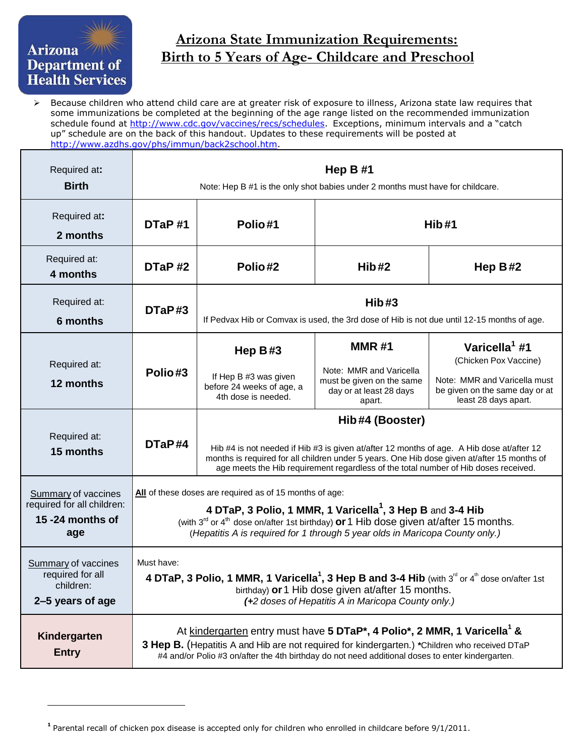## Department of **Health Services**

## **Arizona State Immunization Requirements:**<br>Right to 5 Years of Ago Childeers and Presche **Birth to 5 Years of Age- Childcare and Preschool**

 $\triangleright$  Because children who attend child care are at greater risk of exposure to illness, Arizona state law requires that some immunizations be completed at the beginning of the age range listed on the recommended immunization schedule found at [http://www.cdc.gov/vaccines/recs/schedules.](http://www.cdc.gov/vaccines/recs/schedules) Exceptions, minimum intervals and a "catch up" schedule are on the back of this handout. Updates to these requirements will be posted at [http://www.azdhs.gov/phs/immun/back2school.htm.](http://www.azdhs.gov/phs/immun/back2school.htm)

| Required at:<br><b>Birth</b>                                                 | Hep $B#1$<br>Note: Hep B #1 is the only shot babies under 2 months must have for childcare.                                                                                                                                                                                                                                       |                                                                                                                                                                                                                                                                                                    |                                                                                                           |                                                                                                                                              |
|------------------------------------------------------------------------------|-----------------------------------------------------------------------------------------------------------------------------------------------------------------------------------------------------------------------------------------------------------------------------------------------------------------------------------|----------------------------------------------------------------------------------------------------------------------------------------------------------------------------------------------------------------------------------------------------------------------------------------------------|-----------------------------------------------------------------------------------------------------------|----------------------------------------------------------------------------------------------------------------------------------------------|
| Required at:<br>2 months                                                     | DTaP#1                                                                                                                                                                                                                                                                                                                            | Polio#1<br>Hib#1                                                                                                                                                                                                                                                                                   |                                                                                                           |                                                                                                                                              |
| Required at:<br>4 months                                                     | DTaP#2                                                                                                                                                                                                                                                                                                                            | Polio#2                                                                                                                                                                                                                                                                                            | Hib#2                                                                                                     | Hep $B#2$                                                                                                                                    |
| Required at:<br>6 months                                                     | DTaP#3                                                                                                                                                                                                                                                                                                                            | Hib#3<br>If Pedvax Hib or Comvax is used, the 3rd dose of Hib is not due until 12-15 months of age.                                                                                                                                                                                                |                                                                                                           |                                                                                                                                              |
| Required at:<br>12 months                                                    | Polio#3                                                                                                                                                                                                                                                                                                                           | Hep $B#3$<br>If Hep B #3 was given<br>before 24 weeks of age, a<br>4th dose is needed.                                                                                                                                                                                                             | <b>MMR#1</b><br>Note: MMR and Varicella<br>must be given on the same<br>day or at least 28 days<br>apart. | Varicella <sup>1</sup> #1<br>(Chicken Pox Vaccine)<br>Note: MMR and Varicella must<br>be given on the same day or at<br>least 28 days apart. |
| Required at:<br>15 months                                                    | DTaP#4                                                                                                                                                                                                                                                                                                                            | Hib#4 (Booster)<br>Hib #4 is not needed if Hib #3 is given at/after 12 months of age. A Hib dose at/after 12<br>months is required for all children under 5 years. One Hib dose given at/after 15 months of<br>age meets the Hib requirement regardless of the total number of Hib doses received. |                                                                                                           |                                                                                                                                              |
| Summary of vaccines<br>required for all children:<br>15 -24 months of<br>age | All of these doses are required as of 15 months of age:<br>4 DTaP, 3 Polio, 1 MMR, 1 Varicella <sup>1</sup> , 3 Hep B and 3-4 Hib<br>(with 3 <sup>rd</sup> or 4 <sup>th</sup> dose on/after 1st birthday) or 1 Hib dose given at/after 15 months.<br>(Hepatitis A is required for 1 through 5 year olds in Maricopa County only.) |                                                                                                                                                                                                                                                                                                    |                                                                                                           |                                                                                                                                              |
| Summary of vaccines<br>required for all<br>children:<br>2–5 years of age     | Must have:<br>4 DTaP, 3 Polio, 1 MMR, 1 Varicella <sup>1</sup> , 3 Hep B and 3-4 Hib (with 3 <sup>rd</sup> or 4 <sup>th</sup> dose on/after 1st<br>birthday) or 1 Hib dose given at/after 15 months.<br>(+2 doses of Hepatitis A in Maricopa County only.)                                                                        |                                                                                                                                                                                                                                                                                                    |                                                                                                           |                                                                                                                                              |
| Kindergarten<br><b>Entry</b>                                                 | At kindergarten entry must have 5 DTaP*, 4 Polio*, 2 MMR, 1 Varicella <sup>1</sup> &<br>3 Hep B. (Hepatitis A and Hib are not required for kindergarten.) *Children who received DTaP<br>#4 and/or Polio #3 on/after the 4th birthday do not need additional doses to enter kindergarten.                                         |                                                                                                                                                                                                                                                                                                    |                                                                                                           |                                                                                                                                              |

**<sup>1</sup>** Parental recall of chicken pox disease is accepted only for children who enrolled in childcare before 9/1/2011.